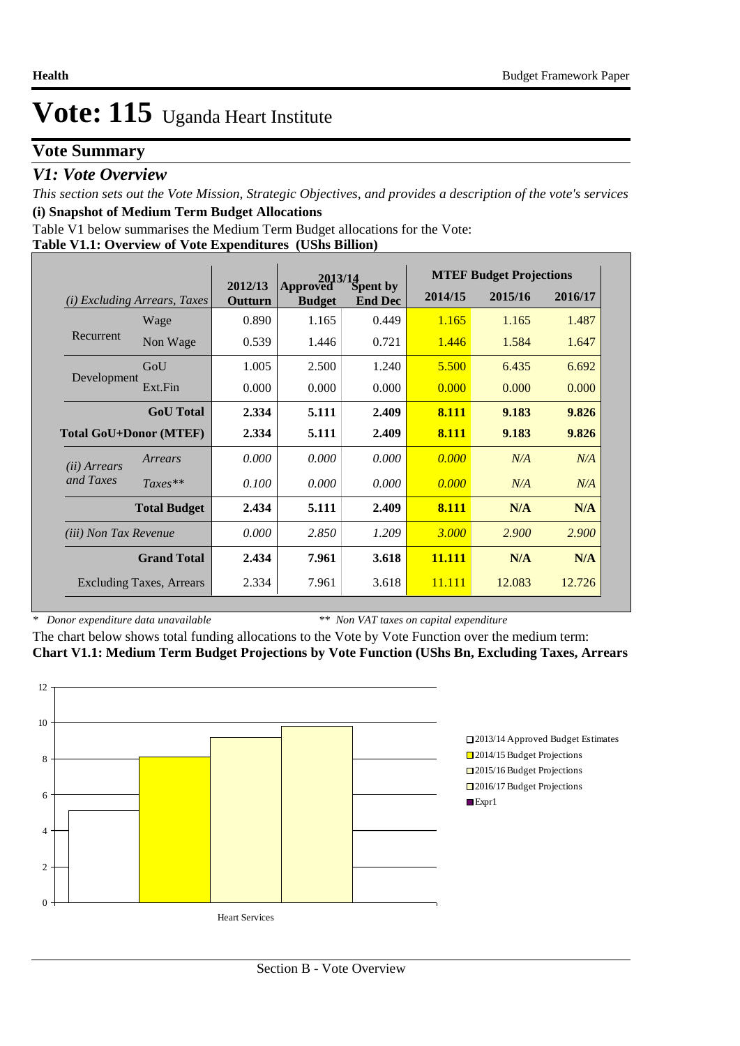### **Vote Summary**

### *V1: Vote Overview*

*This section sets out the Vote Mission, Strategic Objectives, and provides a description of the vote's services* **(i) Snapshot of Medium Term Budget Allocations** 

Table V1 below summarises the Medium Term Budget allocations for the Vote:

|  |  | Table V1.1: Overview of Vote Expenditures (UShs Billion) |
|--|--|----------------------------------------------------------|
|  |  |                                                          |

|                              |                                 | 2013/14<br>2012/13 |                           |                            |         | <b>MTEF Budget Projections</b> |         |
|------------------------------|---------------------------------|--------------------|---------------------------|----------------------------|---------|--------------------------------|---------|
|                              | (i) Excluding Arrears, Taxes    | Outturn            | Approved<br><b>Budget</b> | Spent by<br><b>End Dec</b> | 2014/15 | 2015/16                        | 2016/17 |
|                              | Wage                            | 0.890              | 1.165                     | 0.449                      | 1.165   | 1.165                          | 1.487   |
| Recurrent                    | Non Wage                        | 0.539              | 1.446                     | 0.721                      | 1.446   | 1.584                          | 1.647   |
|                              | GoU                             | 1.005              | 2.500                     | 1.240                      | 5.500   | 6.435                          | 6.692   |
| Development                  | Ext.Fin                         | 0.000              | 0.000                     | 0.000                      | 0.000   | 0.000                          | 0.000   |
|                              | <b>GoU</b> Total                | 2.334              | 5.111                     | 2.409                      | 8.111   | 9.183                          | 9.826   |
|                              | <b>Total GoU+Donor (MTEF)</b>   | 2.334              | 5.111                     | 2.409                      | 8.111   | 9.183                          | 9.826   |
| ( <i>ii</i> ) Arrears        | Arrears                         | 0.000              | 0.000                     | 0.000                      | 0.000   | N/A                            | N/A     |
| and Taxes                    | $Taxes**$                       | 0.100              | 0.000                     | 0.000                      | 0.000   | N/A                            | N/A     |
|                              | <b>Total Budget</b>             | 2.434              | 5.111                     | 2.409                      | 8.111   | N/A                            | N/A     |
| <i>(iii) Non Tax Revenue</i> |                                 | 0.000              | 2.850                     | 1.209                      | 3.000   | 2.900                          | 2.900   |
|                              | <b>Grand Total</b>              | 2.434              | 7.961                     | 3.618                      | 11.111  | N/A                            | N/A     |
|                              | <b>Excluding Taxes, Arrears</b> | 2.334              | 7.961                     | 3.618                      | 11.111  | 12.083                         | 12.726  |

*\* Donor expenditure data unavailable*

*\*\* Non VAT taxes on capital expenditure*

The chart below shows total funding allocations to the Vote by Vote Function over the medium term: **Chart V1.1: Medium Term Budget Projections by Vote Function (UShs Bn, Excluding Taxes, Arrears**

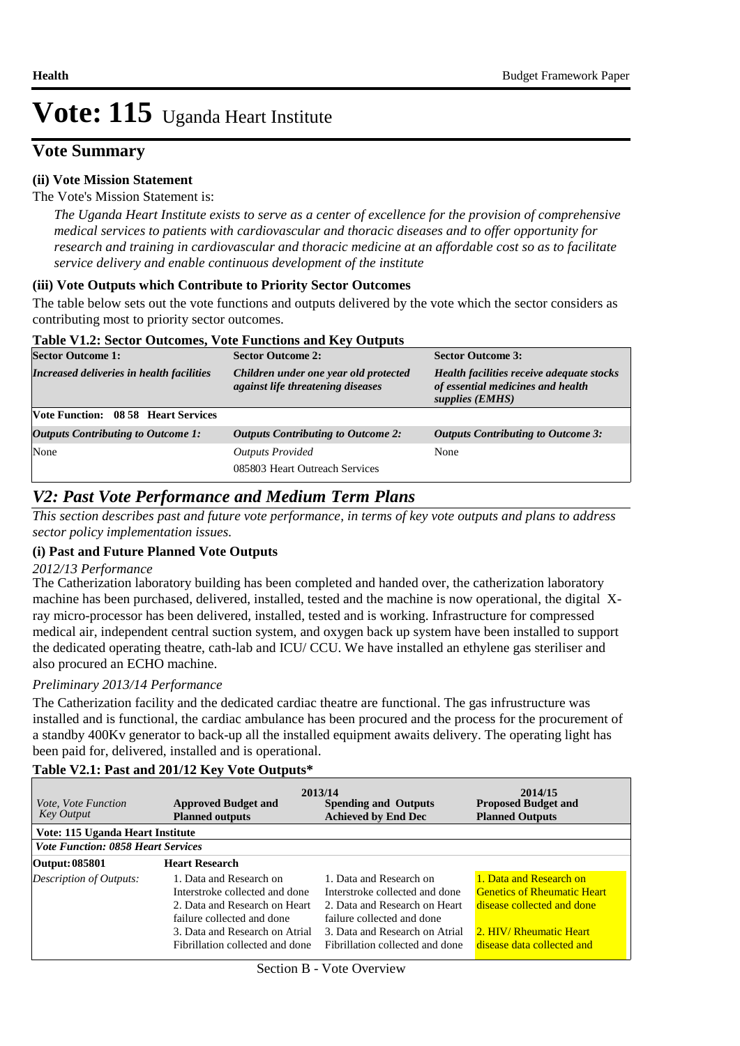### **Vote Summary**

### **(ii) Vote Mission Statement**

#### The Vote's Mission Statement is:

*The Uganda Heart Institute exists to serve as a center of excellence for the provision of comprehensive medical services to patients with cardiovascular and thoracic diseases and to offer opportunity for research and training in cardiovascular and thoracic medicine at an affordable cost so as to facilitate service delivery and enable continuous development of the institute*

### **(iii) Vote Outputs which Contribute to Priority Sector Outcomes**

The table below sets out the vote functions and outputs delivered by the vote which the sector considers as contributing most to priority sector outcomes.

#### **Table V1.2: Sector Outcomes, Vote Functions and Key Outputs**

| <b>Sector Outcome 1:</b>                  | <b>Sector Outcome 2:</b>                                                   | <b>Sector Outcome 3:</b>                                                                          |  |
|-------------------------------------------|----------------------------------------------------------------------------|---------------------------------------------------------------------------------------------------|--|
| Increased deliveries in health facilities | Children under one year old protected<br>against life threatening diseases | Health facilities receive adequate stocks<br>of essential medicines and health<br>supplies (EMHS) |  |
| Vote Function: 08 58 Heart Services       |                                                                            |                                                                                                   |  |
| <b>Outputs Contributing to Outcome 1:</b> | <b>Outputs Contributing to Outcome 2:</b>                                  | <b>Outputs Contributing to Outcome 3:</b>                                                         |  |
| None                                      | <b>Outputs Provided</b>                                                    | None                                                                                              |  |
|                                           | 085803 Heart Outreach Services                                             |                                                                                                   |  |
|                                           |                                                                            |                                                                                                   |  |

### *V2: Past Vote Performance and Medium Term Plans*

*This section describes past and future vote performance, in terms of key vote outputs and plans to address sector policy implementation issues.* 

### **(i) Past and Future Planned Vote Outputs**

#### *2012/13 Performance*

The Catherization laboratory building has been completed and handed over, the catherization laboratory machine has been purchased, delivered, installed, tested and the machine is now operational, the digital Xray micro-processor has been delivered, installed, tested and is working. Infrastructure for compressed medical air, independent central suction system, and oxygen back up system have been installed to support the dedicated operating theatre, cath-lab and ICU/ CCU. We have installed an ethylene gas steriliser and also procured an ECHO machine.

### *Preliminary 2013/14 Performance*

The Catherization facility and the dedicated cardiac theatre are functional. The gas infrustructure was installed and is functional, the cardiac ambulance has been procured and the process for the procurement of a standby 400Kv generator to back-up all the installed equipment awaits delivery. The operating light has been paid for, delivered, installed and is operational.

### **Table V2.1: Past and 201/12 Key Vote Outputs\***

| <i>Vote, Vote Function</i><br><b>Key Output</b> | <b>Approved Budget and</b><br><b>Planned outputs</b>                                                                                                                                          | 2013/14<br><b>Spending and Outputs</b><br><b>Achieved by End Dec</b>                                                                                                                          | 2014/15<br><b>Proposed Budget and</b><br><b>Planned Outputs</b>                                                                                      |
|-------------------------------------------------|-----------------------------------------------------------------------------------------------------------------------------------------------------------------------------------------------|-----------------------------------------------------------------------------------------------------------------------------------------------------------------------------------------------|------------------------------------------------------------------------------------------------------------------------------------------------------|
| Vote: 115 Uganda Heart Institute                |                                                                                                                                                                                               |                                                                                                                                                                                               |                                                                                                                                                      |
| <b>Vote Function: 0858 Heart Services</b>       |                                                                                                                                                                                               |                                                                                                                                                                                               |                                                                                                                                                      |
| Output: 085801                                  | <b>Heart Research</b>                                                                                                                                                                         |                                                                                                                                                                                               |                                                                                                                                                      |
| Description of Outputs:                         | 1. Data and Research on<br>Interstroke collected and done<br>2. Data and Research on Heart<br>failure collected and done<br>3. Data and Research on Atrial<br>Fibrillation collected and done | 1. Data and Research on<br>Interstroke collected and done<br>2. Data and Research on Heart<br>failure collected and done<br>3. Data and Research on Atrial<br>Fibrillation collected and done | 1. Data and Research on<br><b>Genetics of Rheumatic Heart</b><br>disease collected and done<br>2. HIV/ Rheumatic Heart<br>disease data collected and |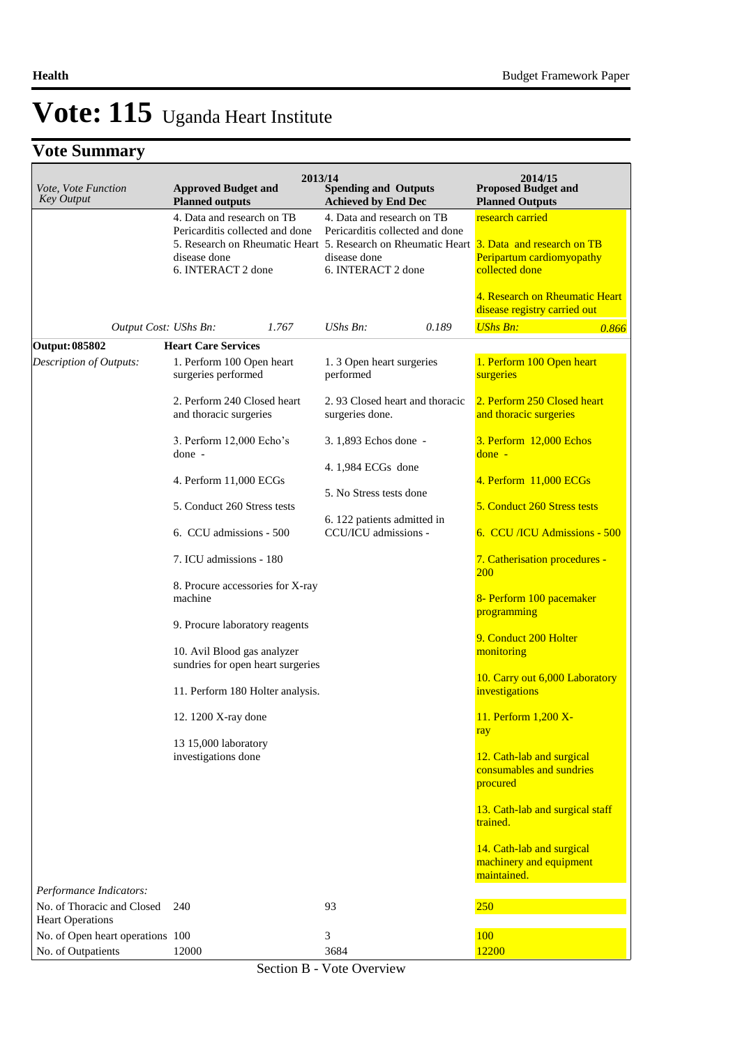# **Vote Summary**

| Vote, Vote Function<br><b>Key Output</b>               | 2013/14<br><b>Approved Budget and</b><br><b>Planned outputs</b>                                                                                                                                 | <b>Spending and Outputs</b><br><b>Achieved by End Dec</b>                                           | 2014/15<br><b>Proposed Budget and</b><br><b>Planned Outputs</b>                                                                   |
|--------------------------------------------------------|-------------------------------------------------------------------------------------------------------------------------------------------------------------------------------------------------|-----------------------------------------------------------------------------------------------------|-----------------------------------------------------------------------------------------------------------------------------------|
|                                                        | 4. Data and research on TB<br>Pericarditis collected and done<br>5. Research on Rheumatic Heart 5. Research on Rheumatic Heart 3. Data and research on TB<br>disease done<br>6. INTERACT 2 done | 4. Data and research on TB<br>Pericarditis collected and done<br>disease done<br>6. INTERACT 2 done | research carried<br>Peripartum cardiomyopathy<br>collected done<br>4. Research on Rheumatic Heart<br>disease registry carried out |
| Output Cost: UShs Bn:                                  | 1.767                                                                                                                                                                                           | $UShs Bn$ :<br>0.189                                                                                | <b>UShs Bn:</b><br>0.866                                                                                                          |
| Output: 085802                                         | <b>Heart Care Services</b>                                                                                                                                                                      |                                                                                                     |                                                                                                                                   |
| <b>Description of Outputs:</b>                         | 1. Perform 100 Open heart<br>surgeries performed                                                                                                                                                | 1.3 Open heart surgeries<br>performed                                                               | 1. Perform 100 Open heart<br>surgeries                                                                                            |
|                                                        | 2. Perform 240 Closed heart<br>and thoracic surgeries                                                                                                                                           | 2.93 Closed heart and thoracic<br>surgeries done.                                                   | 2. Perform 250 Closed heart<br>and thoracic surgeries                                                                             |
|                                                        | 3. Perform 12,000 Echo's<br>done -                                                                                                                                                              | 3. 1,893 Echos done -                                                                               | 3. Perform 12,000 Echos<br>$done -$                                                                                               |
|                                                        | 4. Perform 11,000 ECGs                                                                                                                                                                          | 4.1,984 ECGs done<br>5. No Stress tests done                                                        | 4. Perform 11,000 ECGs                                                                                                            |
|                                                        | 5. Conduct 260 Stress tests<br>6. CCU admissions - 500                                                                                                                                          | 6. 122 patients admitted in<br>CCU/ICU admissions -                                                 | 5. Conduct 260 Stress tests<br>6. CCU /ICU Admissions - 500                                                                       |
|                                                        | 7. ICU admissions - 180                                                                                                                                                                         |                                                                                                     | 7. Catherisation procedures -<br><b>200</b>                                                                                       |
|                                                        | 8. Procure accessories for X-ray<br>machine                                                                                                                                                     |                                                                                                     | 8- Perform 100 pacemaker                                                                                                          |
|                                                        | 9. Procure laboratory reagents                                                                                                                                                                  |                                                                                                     | programming<br>9. Conduct 200 Holter                                                                                              |
|                                                        | 10. Avil Blood gas analyzer<br>sundries for open heart surgeries                                                                                                                                |                                                                                                     | monitoring<br>10. Carry out 6,000 Laboratory                                                                                      |
|                                                        | 11. Perform 180 Holter analysis.                                                                                                                                                                |                                                                                                     | investigations                                                                                                                    |
|                                                        | 12. 1200 X-ray done<br>13 15,000 laboratory                                                                                                                                                     |                                                                                                     | 11. Perform 1.200 X-<br>ray                                                                                                       |
|                                                        | investigations done                                                                                                                                                                             |                                                                                                     | 12. Cath-lab and surgical<br>consumables and sundries<br>procured                                                                 |
|                                                        |                                                                                                                                                                                                 |                                                                                                     | 13. Cath-lab and surgical staff<br>trained.                                                                                       |
|                                                        |                                                                                                                                                                                                 |                                                                                                     | 14. Cath-lab and surgical<br>machinery and equipment<br>maintained.                                                               |
| Performance Indicators:                                |                                                                                                                                                                                                 |                                                                                                     |                                                                                                                                   |
| No. of Thoracic and Closed<br><b>Heart Operations</b>  | 240                                                                                                                                                                                             | 93                                                                                                  | 250                                                                                                                               |
| No. of Open heart operations 100<br>No. of Outpatients | 12000                                                                                                                                                                                           | 3<br>3684                                                                                           | 100<br>12200                                                                                                                      |

Section B - Vote Overview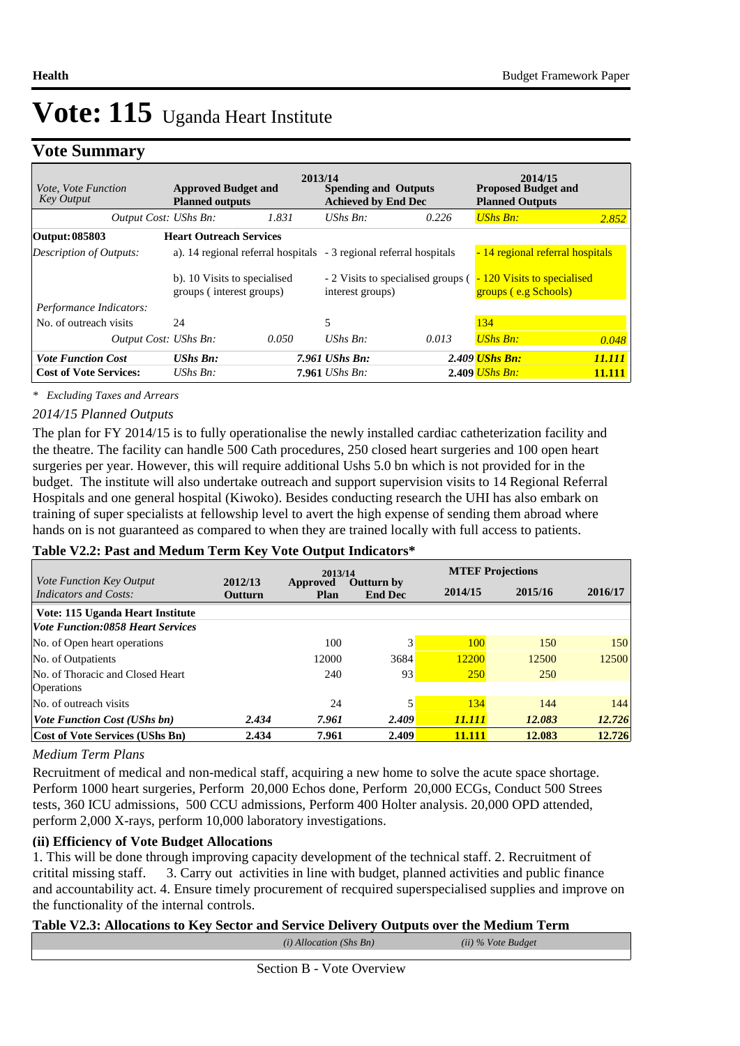### **Vote Summary**

| <i>Vote. Vote Function</i><br><b>Key Output</b> | <b>Approved Budget and</b><br><b>Planned outputs</b>     | 2013/14 | <b>Spending and Outputs</b><br><b>Achieved by End Dec</b>          |       | 2014/15<br><b>Proposed Budget and</b><br><b>Planned Outputs</b> |               |
|-------------------------------------------------|----------------------------------------------------------|---------|--------------------------------------------------------------------|-------|-----------------------------------------------------------------|---------------|
| Output Cost: UShs Bn:                           |                                                          | 1.831   | UShs $Bn$ :                                                        | 0.226 | UShs Bn:                                                        | 2.852         |
| Output: 085803                                  | <b>Heart Outreach Services</b>                           |         |                                                                    |       |                                                                 |               |
| Description of Outputs:                         |                                                          |         | a). 14 regional referral hospitals - 3 regional referral hospitals |       | - 14 regional referral hospitals                                |               |
|                                                 | b). 10 Visits to specialised<br>groups (interest groups) |         | $-2$ Visits to specialised groups ( $-$<br>interest groups)        |       | 120 Visits to specialised<br>groups (e.g Schools)               |               |
| Performance Indicators:                         |                                                          |         |                                                                    |       |                                                                 |               |
| No. of outreach visits                          | 24                                                       |         | 5                                                                  |       | 134                                                             |               |
| Output Cost: UShs Bn:                           |                                                          | 0.050   | UShs $Bn$ :                                                        | 0.013 | <b>UShs Bn:</b>                                                 | 0.048         |
| <b>Vote Function Cost</b>                       | <b>UShs Bn:</b>                                          |         | 7.961 UShs Bn:                                                     |       | 2.409 <i>UShs Bn:</i>                                           | 11.111        |
| <b>Cost of Vote Services:</b>                   | $UShs Bn$ :                                              |         | $7.961$ UShs Bn:                                                   |       | $2.409$ UShs Bn:                                                | <b>11.111</b> |

*\* Excluding Taxes and Arrears*

### *2014/15 Planned Outputs*

The plan for FY 2014/15 is to fully operationalise the newly installed cardiac catheterization facility and the theatre. The facility can handle 500 Cath procedures, 250 closed heart surgeries and 100 open heart surgeries per year. However, this will require additional Ushs 5.0 bn which is not provided for in the budget. The institute will also undertake outreach and support supervision visits to 14 Regional Referral Hospitals and one general hospital (Kiwoko). Besides conducting research the UHI has also embark on training of super specialists at fellowship level to avert the high expense of sending them abroad where hands on is not guaranteed as compared to when they are trained locally with full access to patients.

### **Table V2.2: Past and Medum Term Key Vote Output Indicators\***

| Vote Function Key Output                 | 2012/13 | 2013/14                 |                                     |            | <b>MTEF Projections</b> |         |
|------------------------------------------|---------|-------------------------|-------------------------------------|------------|-------------------------|---------|
| Indicators and Costs:                    | Outturn | <b>Approved</b><br>Plan | <b>Outturn by</b><br><b>End Dec</b> | 2014/15    | 2015/16                 | 2016/17 |
| Vote: 115 Uganda Heart Institute         |         |                         |                                     |            |                         |         |
| <b>Vote Function:0858 Heart Services</b> |         |                         |                                     |            |                         |         |
| No. of Open heart operations             |         | 100                     |                                     | 100        | 150                     | 150     |
| No. of Outpatients                       |         | 12000                   | 3684                                | 12200      | 12500                   | 12500   |
| No. of Thoracic and Closed Heart         |         | 240                     | 93                                  | <b>250</b> | <b>250</b>              |         |
| <b>Operations</b>                        |         |                         |                                     |            |                         |         |
| No. of outreach visits                   |         | 24                      |                                     | 134        | 144                     | 144     |
| <b>Vote Function Cost (UShs bn)</b>      | 2.434   | 7.961                   | 2.409                               | 11.111     | 12.083                  | 12.726  |
| <b>Cost of Vote Services (UShs Bn)</b>   | 2.434   | 7.961                   | 2.409                               | 11.111     | 12.083                  | 12.726  |

### *Medium Term Plans*

Recruitment of medical and non-medical staff, acquiring a new home to solve the acute space shortage. Perform 1000 heart surgeries, Perform 20,000 Echos done, Perform 20,000 ECGs, Conduct 500 Strees tests, 360 ICU admissions, 500 CCU admissions, Perform 400 Holter analysis. 20,000 OPD attended, perform 2,000 X-rays, perform 10,000 laboratory investigations.

### **(ii) Efficiency of Vote Budget Allocations**

1. This will be done through improving capacity development of the technical staff. 2. Recruitment of critital missing staff. 3. Carry out activities in line with budget, planned activities and public finance and accountability act. 4. Ensure timely procurement of recquired superspecialised supplies and improve on the functionality of the internal controls.

### **Table V2.3: Allocations to Key Sector and Service Delivery Outputs over the Medium Term**

| $(i)$ Allocation (Shs Bn) | (ii) % Vote Budget |  |
|---------------------------|--------------------|--|
|                           |                    |  |
|                           |                    |  |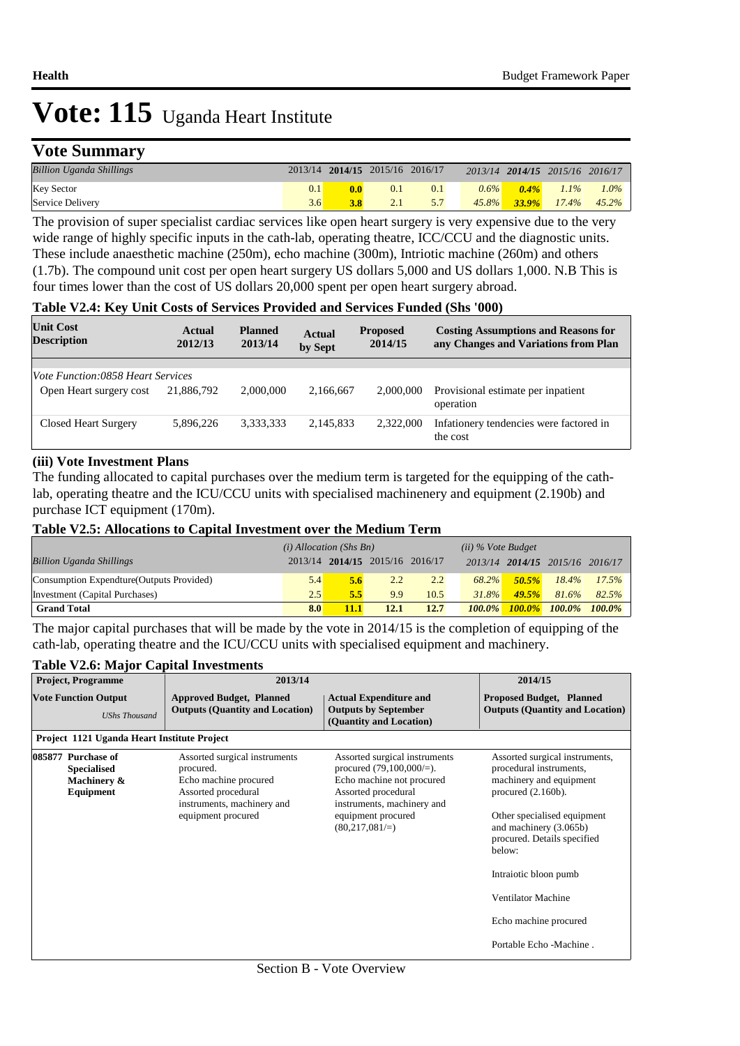# **Vote Summary**

| <b>Billion Uganda Shillings</b> |      | 2013/14 2014/15 2015/16 2016/17 |     |          |          | 2013/14 2014/15 2015/16 2016/17 |          |
|---------------------------------|------|---------------------------------|-----|----------|----------|---------------------------------|----------|
| <b>Key Sector</b>               | 0.11 | $\overline{0.1}$                | 0.1 | $0.6\%$  | $0.4\%$  | $1.1\%$                         | $1.0\%$  |
| Service Delivery                | 3.6  | 2.1                             |     | $45.8\%$ | $33.9\%$ | $17.4\%$                        | $45.2\%$ |

The provision of super specialist cardiac services like open heart surgery is very expensive due to the very wide range of highly specific inputs in the cath-lab, operating theatre, ICC/CCU and the diagnostic units. These include anaesthetic machine (250m), echo machine (300m), Intriotic machine (260m) and others (1.7b). The compound unit cost per open heart surgery US dollars 5,000 and US dollars 1,000. N.B This is four times lower than the cost of US dollars 20,000 spent per open heart surgery abroad.

#### **Table V2.4: Key Unit Costs of Services Provided and Services Funded (Shs '000)**

| <b>Unit Cost</b><br><b>Description</b>                              | Actual<br>2012/13 | <b>Planned</b><br>2013/14 | <b>Actual</b><br>by Sept | <b>Proposed</b><br>2014/15 | <b>Costing Assumptions and Reasons for</b><br>any Changes and Variations from Plan |
|---------------------------------------------------------------------|-------------------|---------------------------|--------------------------|----------------------------|------------------------------------------------------------------------------------|
|                                                                     |                   |                           |                          |                            |                                                                                    |
| <i>Vote Function:0858 Heart Services</i><br>Open Heart surgery cost | 21,886,792        | 2,000,000                 | 2.166.667                | 2,000,000                  | Provisional estimate per inpatient<br>operation                                    |
| Closed Heart Surgery                                                | 5,896,226         | 3,333,333                 | 2,145,833                | 2,322,000                  | Infationery tendencies were factored in<br>the cost                                |

#### **(iii) Vote Investment Plans**

The funding allocated to capital purchases over the medium term is targeted for the equipping of the cathlab, operating theatre and the ICU/CCU units with specialised machinenery and equipment (2.190b) and purchase ICT equipment (170m).

#### **Table V2.5: Allocations to Capital Investment over the Medium Term**

|                                           | $(i)$ Allocation (Shs Bn) |      |                                 | $(ii)$ % Vote Budget |           |           |                                 |           |
|-------------------------------------------|---------------------------|------|---------------------------------|----------------------|-----------|-----------|---------------------------------|-----------|
| <b>Billion Uganda Shillings</b>           |                           |      | 2013/14 2014/15 2015/16 2016/17 |                      |           |           | 2013/14 2014/15 2015/16 2016/17 |           |
| Consumption Expendture (Outputs Provided) | 5.4                       | 5.6  | 2.2                             | 2.2                  | 68.2%     | $50.5\%$  | $18.4\%$                        | 17.5%     |
| Investment (Capital Purchases)            | 2.5                       | 5.5  | 9.9                             | 10.5                 | 31.8%     | 49.5%     | 81.6%                           | 82.5%     |
| <b>Grand Total</b>                        | 8.0                       | 11.1 | 12.1                            | 12.7                 | $100.0\%$ | $100.0\%$ | $100.0\%$                       | $100.0\%$ |

The major capital purchases that will be made by the vote in 2014/15 is the completion of equipping of the cath-lab, operating theatre and the ICU/CCU units with specialised equipment and machinery.

### **Table V2.6: Major Capital Investments**

| <b>Project, Programme</b>                                            | 2013/14                                                                                                                                        |                                                                                                                                                                                               |                                                                                                                                                                                                                                          |  |
|----------------------------------------------------------------------|------------------------------------------------------------------------------------------------------------------------------------------------|-----------------------------------------------------------------------------------------------------------------------------------------------------------------------------------------------|------------------------------------------------------------------------------------------------------------------------------------------------------------------------------------------------------------------------------------------|--|
| <b>Vote Function Output</b><br><b>UShs Thousand</b>                  | <b>Approved Budget, Planned</b><br><b>Outputs (Quantity and Location)</b>                                                                      | <b>Actual Expenditure and</b><br><b>Outputs by September</b><br>(Quantity and Location)                                                                                                       | <b>Proposed Budget, Planned</b><br><b>Outputs (Quantity and Location)</b>                                                                                                                                                                |  |
| Project 1121 Uganda Heart Institute Project                          |                                                                                                                                                |                                                                                                                                                                                               |                                                                                                                                                                                                                                          |  |
| 085877 Purchase of<br><b>Specialised</b><br>Machinery &<br>Equipment | Assorted surgical instruments<br>procured.<br>Echo machine procured<br>Assorted procedural<br>instruments, machinery and<br>equipment procured | Assorted surgical instruments<br>procured $(79,100,000/=)$ .<br>Echo machine not procured<br>Assorted procedural<br>instruments, machinery and<br>equipment procured<br>$(80,217,081/\equiv)$ | Assorted surgical instruments,<br>procedural instruments,<br>machinery and equipment<br>procured $(2.160b)$ .<br>Other specialised equipment<br>and machinery (3.065b)<br>procured. Details specified<br>below:<br>Intraiotic bloon pumb |  |
|                                                                      |                                                                                                                                                |                                                                                                                                                                                               | Ventilator Machine                                                                                                                                                                                                                       |  |
|                                                                      |                                                                                                                                                |                                                                                                                                                                                               | Echo machine procured                                                                                                                                                                                                                    |  |
|                                                                      |                                                                                                                                                |                                                                                                                                                                                               | Portable Echo - Machine.                                                                                                                                                                                                                 |  |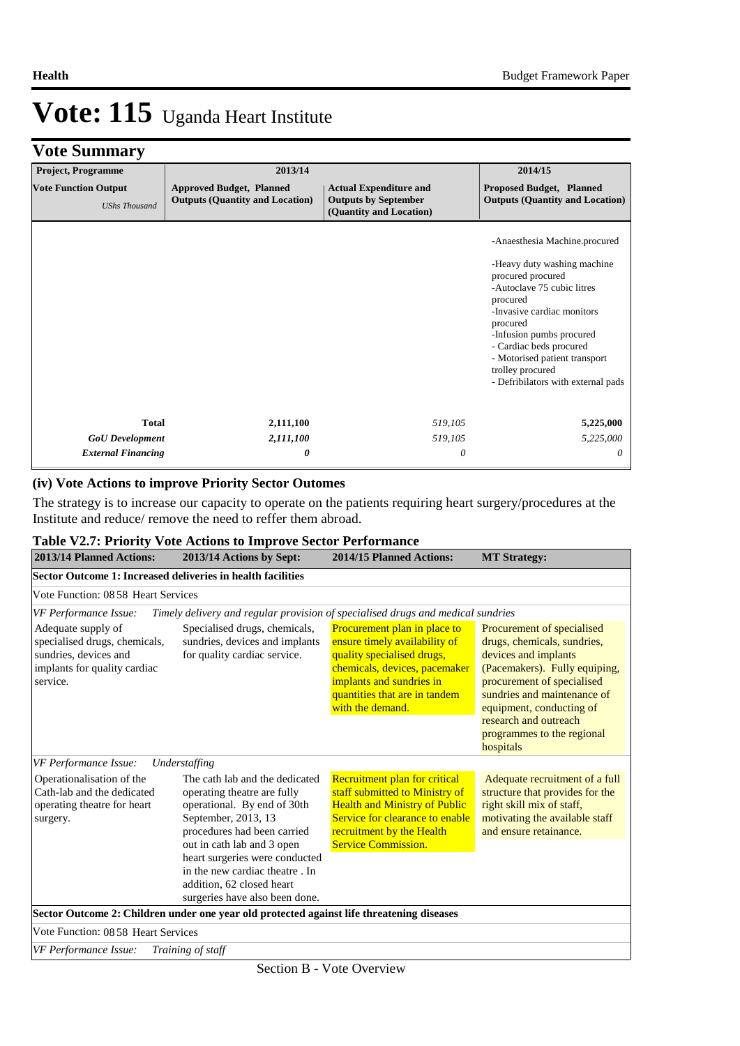# **Vote Summary**

| <b>Project, Programme</b>                           | 2013/14                                                                   |                                                                                         | 2014/15                                                                                                                                                                                                                                                                                                                 |
|-----------------------------------------------------|---------------------------------------------------------------------------|-----------------------------------------------------------------------------------------|-------------------------------------------------------------------------------------------------------------------------------------------------------------------------------------------------------------------------------------------------------------------------------------------------------------------------|
| <b>Vote Function Output</b><br><b>UShs Thousand</b> | <b>Approved Budget, Planned</b><br><b>Outputs (Quantity and Location)</b> | <b>Actual Expenditure and</b><br><b>Outputs by September</b><br>(Quantity and Location) | <b>Proposed Budget, Planned</b><br><b>Outputs (Quantity and Location)</b>                                                                                                                                                                                                                                               |
|                                                     |                                                                           |                                                                                         | -Anaesthesia Machine.procured<br>-Heavy duty washing machine<br>procured procured<br>-Autoclave 75 cubic litres<br>procured<br>-Invasive cardiac monitors<br>procured<br>-Infusion pumbs procured<br>- Cardiac beds procured<br>- Motorised patient transport<br>trolley procured<br>- Defribilators with external pads |
| <b>Total</b>                                        | 2,111,100                                                                 | 519,105                                                                                 | 5,225,000                                                                                                                                                                                                                                                                                                               |
| <b>GoU</b> Development                              | 2,111,100                                                                 | 519,105                                                                                 | 5,225,000                                                                                                                                                                                                                                                                                                               |
| <b>External Financing</b>                           | 0                                                                         | 0                                                                                       | 0                                                                                                                                                                                                                                                                                                                       |

### **(iv) Vote Actions to improve Priority Sector Outomes**

The strategy is to increase our capacity to operate on the patients requiring heart surgery/procedures at the Institute and reduce/ remove the need to reffer them abroad.

| 2013/14 Planned Actions:                                                                                                 | 2013/14 Actions by Sept:                                                                                                                                                                                                                                                          | 2014/15 Planned Actions:                                                                                                                                                                                      | <b>MT</b> Strategy:                                                                                                                                                                                                                                                             |
|--------------------------------------------------------------------------------------------------------------------------|-----------------------------------------------------------------------------------------------------------------------------------------------------------------------------------------------------------------------------------------------------------------------------------|---------------------------------------------------------------------------------------------------------------------------------------------------------------------------------------------------------------|---------------------------------------------------------------------------------------------------------------------------------------------------------------------------------------------------------------------------------------------------------------------------------|
| Sector Outcome 1: Increased deliveries in health facilities                                                              |                                                                                                                                                                                                                                                                                   |                                                                                                                                                                                                               |                                                                                                                                                                                                                                                                                 |
| Vote Function: 08.58 Heart Services                                                                                      |                                                                                                                                                                                                                                                                                   |                                                                                                                                                                                                               |                                                                                                                                                                                                                                                                                 |
| VF Performance Issue:                                                                                                    | Timely delivery and regular provision of specialised drugs and medical sundries                                                                                                                                                                                                   |                                                                                                                                                                                                               |                                                                                                                                                                                                                                                                                 |
| Adequate supply of<br>specialised drugs, chemicals,<br>sundries, devices and<br>implants for quality cardiac<br>service. | Specialised drugs, chemicals,<br>sundries, devices and implants<br>for quality cardiac service.                                                                                                                                                                                   | Procurement plan in place to<br>ensure timely availability of<br>quality specialised drugs,<br>chemicals, devices, pacemaker<br>implants and sundries in<br>quantities that are in tandem<br>with the demand. | Procurement of specialised<br>drugs, chemicals, sundries,<br>devices and implants<br>(Pacemakers). Fully equiping,<br>procurement of specialised<br>sundries and maintenance of<br>equipment, conducting of<br>research and outreach<br>programmes to the regional<br>hospitals |
| VF Performance Issue:                                                                                                    | Understaffing                                                                                                                                                                                                                                                                     |                                                                                                                                                                                                               |                                                                                                                                                                                                                                                                                 |
| Operationalisation of the<br>Cath-lab and the dedicated<br>operating theatre for heart<br>surgery.                       | The cath lab and the dedicated<br>operating theatre are fully<br>operational. By end of 30th<br>September, 2013, 13<br>procedures had been carried<br>out in cath lab and 3 open<br>heart surgeries were conducted<br>in the new cardiac theatre. In<br>addition, 62 closed heart | Recruitment plan for critical<br>staff submitted to Ministry of<br><b>Health and Ministry of Public</b><br>Service for clearance to enable<br>recruitment by the Health<br><b>Service Commission.</b>         | Adequate recruitment of a full<br>structure that provides for the<br>right skill mix of staff,<br>motivating the available staff<br>and ensure retainance.                                                                                                                      |
|                                                                                                                          | surgeries have also been done.                                                                                                                                                                                                                                                    |                                                                                                                                                                                                               |                                                                                                                                                                                                                                                                                 |
|                                                                                                                          | Sector Outcome 2: Children under one year old protected against life threatening diseases                                                                                                                                                                                         |                                                                                                                                                                                                               |                                                                                                                                                                                                                                                                                 |
| Vote Function: 08.58 Heart Services                                                                                      |                                                                                                                                                                                                                                                                                   |                                                                                                                                                                                                               |                                                                                                                                                                                                                                                                                 |
| VF Performance Issue:                                                                                                    | Training of staff                                                                                                                                                                                                                                                                 |                                                                                                                                                                                                               |                                                                                                                                                                                                                                                                                 |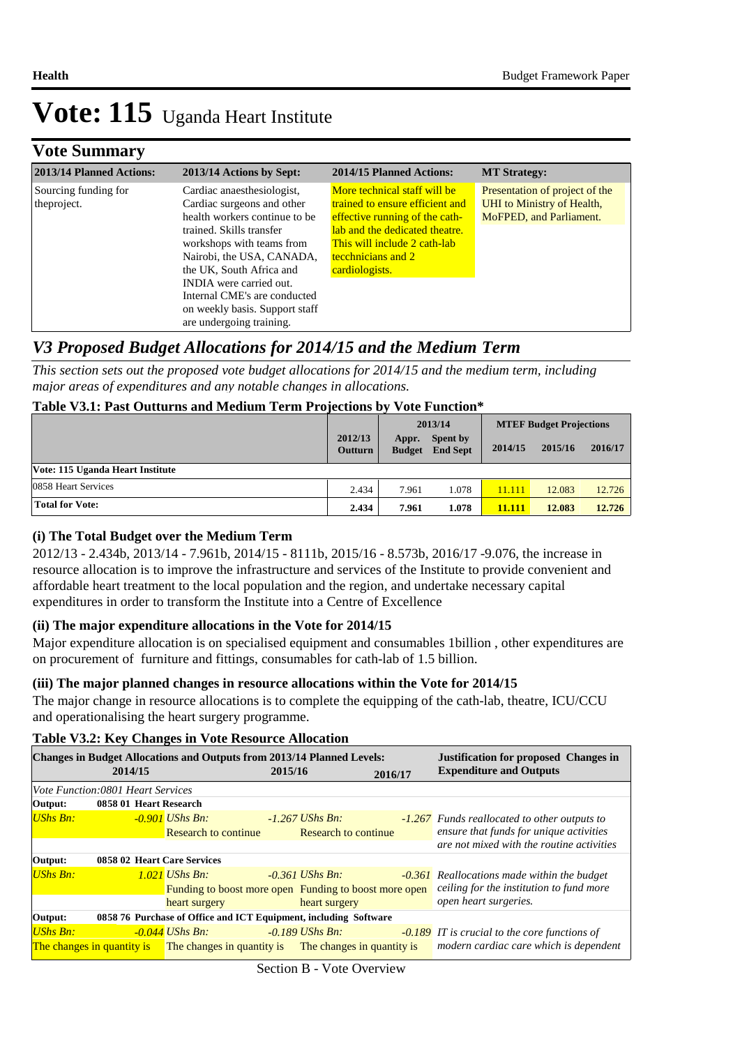### **Vote Summary**

| 2013/14 Planned Actions:             | 2013/14 Actions by Sept:                                                                                                                                                                                                                                               | 2014/15 Planned Actions:                                                                                                                                                                                    | <b>MT Strategy:</b>                                                                                    |
|--------------------------------------|------------------------------------------------------------------------------------------------------------------------------------------------------------------------------------------------------------------------------------------------------------------------|-------------------------------------------------------------------------------------------------------------------------------------------------------------------------------------------------------------|--------------------------------------------------------------------------------------------------------|
| Sourcing funding for<br>the project. | Cardiac anaesthesiologist,<br>Cardiac surgeons and other<br>health workers continue to be<br>trained. Skills transfer<br>workshops with teams from<br>Nairobi, the USA, CANADA,<br>the UK, South Africa and<br>INDIA were carried out.<br>Internal CME's are conducted | More technical staff will be<br>trained to ensure efficient and<br>effective running of the cath-<br>lab and the dedicated theatre.<br>This will include 2 cath-lab<br>tecchnicians and 2<br>cardiologists. | Presentation of project of the<br><b>UHI</b> to Ministry of Health,<br><b>MoFPED</b> , and Parliament. |
|                                      | on weekly basis. Support staff<br>are undergoing training.                                                                                                                                                                                                             |                                                                                                                                                                                                             |                                                                                                        |

### *V3 Proposed Budget Allocations for 2014/15 and the Medium Term*

*This section sets out the proposed vote budget allocations for 2014/15 and the medium term, including major areas of expenditures and any notable changes in allocations.* 

### **Table V3.1: Past Outturns and Medium Term Projections by Vote Function\***

|                                  |                           | 2013/14                |                                    | <b>MTEF Budget Projections</b> |         |         |
|----------------------------------|---------------------------|------------------------|------------------------------------|--------------------------------|---------|---------|
|                                  | 2012/13<br><b>Outturn</b> | Appr.<br><b>Budget</b> | <b>Spent by</b><br><b>End Sept</b> | 2014/15                        | 2015/16 | 2016/17 |
| Vote: 115 Uganda Heart Institute |                           |                        |                                    |                                |         |         |
| 0858 Heart Services              | 2.434                     | 7.961                  | l.078                              | 11.111                         | 12.083  | 12.726  |
| <b>Total for Vote:</b>           | 2.434                     | 7.961                  | 1.078                              | 11.111                         | 12.083  | 12.726  |

### **(i) The Total Budget over the Medium Term**

2012/13 - 2.434b, 2013/14 - 7.961b, 2014/15 - 8111b, 2015/16 - 8.573b, 2016/17 -9.076, the increase in resource allocation is to improve the infrastructure and services of the Institute to provide convenient and affordable heart treatment to the local population and the region, and undertake necessary capital expenditures in order to transform the Institute into a Centre of Excellence

### **(ii) The major expenditure allocations in the Vote for 2014/15**

Major expenditure allocation is on specialised equipment and consumables 1billion , other expenditures are on procurement of furniture and fittings, consumables for cath-lab of 1.5 billion.

### **(iii) The major planned changes in resource allocations within the Vote for 2014/15**

The major change in resource allocations is to complete the equipping of the cath-lab, theatre, ICU/CCU and operationalising the heart surgery programme.

### **Table V3.2: Key Changes in Vote Resource Allocation**

| <b>Changes in Budget Allocations and Outputs from 2013/14 Planned Levels:</b> |                                          |                                                       |         |                            |         | <b>Justification for proposed Changes in</b>         |  |
|-------------------------------------------------------------------------------|------------------------------------------|-------------------------------------------------------|---------|----------------------------|---------|------------------------------------------------------|--|
|                                                                               | 2014/15                                  |                                                       | 2015/16 |                            | 2016/17 | <b>Expenditure and Outputs</b>                       |  |
|                                                                               | <i>Vote Function:0801 Heart Services</i> |                                                       |         |                            |         |                                                      |  |
| Output:                                                                       | 0858 01 Heart Research                   |                                                       |         |                            |         |                                                      |  |
| $UShs Bn:$                                                                    |                                          | $-0.901$ UShs Bn:                                     |         | $-1.267$ UShs Bn:          |         | -1.267 Funds reallocated to other outputs to         |  |
|                                                                               |                                          | <b>Research to continue</b>                           |         | Research to continue       |         | ensure that funds for unique activities              |  |
|                                                                               |                                          |                                                       |         |                            |         | are not mixed with the routine activities            |  |
| Output:                                                                       | 0858 02 Heart Care Services              |                                                       |         |                            |         |                                                      |  |
| <b>UShs Bn:</b>                                                               |                                          | $1.021$ UShs Bn:                                      |         | $-0.361$ UShs Bn:          |         | <b>-0.361</b> Reallocations made within the budget   |  |
|                                                                               |                                          | Funding to boost more open Funding to boost more open |         |                            |         | ceiling for the institution to fund more             |  |
|                                                                               |                                          | heart surgery                                         |         | heart surgery              |         | open heart surgeries.                                |  |
| 0858 76 Purchase of Office and ICT Equipment, including Software<br>Output:   |                                          |                                                       |         |                            |         |                                                      |  |
| <b>UShs Bn:</b>                                                               |                                          | $-0.044$ UShs Bn:                                     |         | $-0.189$ UShs Bn:          |         | <b>-0.189</b> IT is crucial to the core functions of |  |
|                                                                               |                                          | The changes in quantity is The changes in quantity is |         | The changes in quantity is |         | modern cardiac care which is dependent               |  |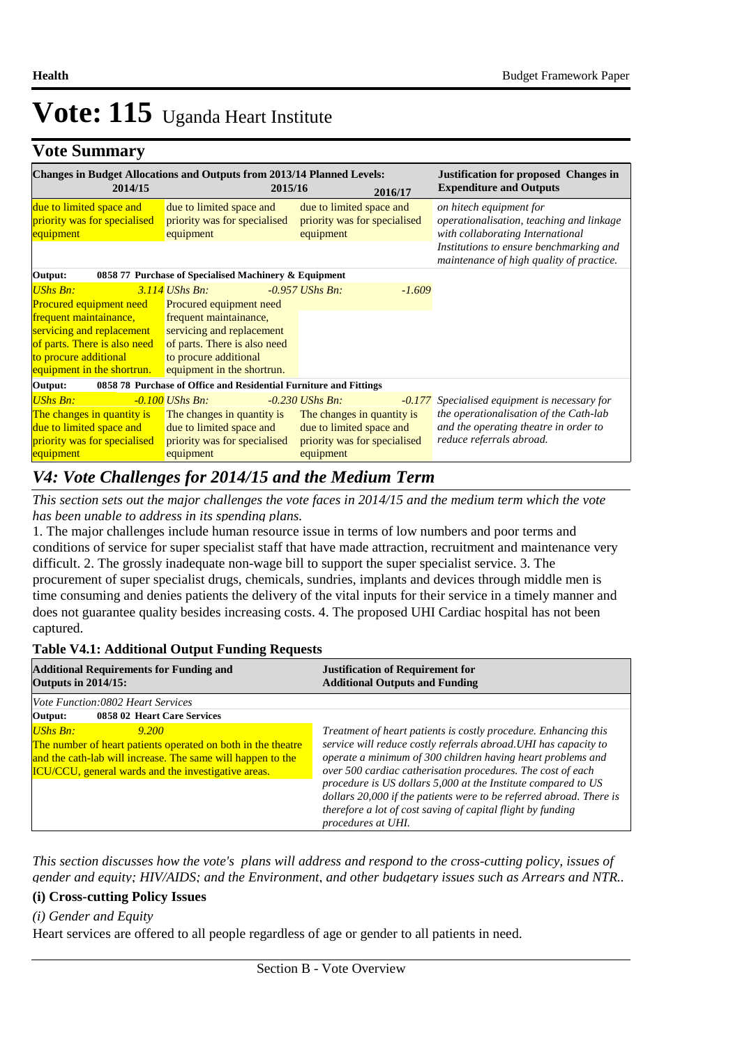## **Vote Summary**

| 2014/15                                                                                                                                                                                         | <b>Changes in Budget Allocations and Outputs from 2013/14 Planned Levels:</b><br>2015/16                                                                                                  | 2016/17                                                                                                                  | <b>Justification for proposed Changes in</b><br><b>Expenditure and Outputs</b>                                                                                                                 |
|-------------------------------------------------------------------------------------------------------------------------------------------------------------------------------------------------|-------------------------------------------------------------------------------------------------------------------------------------------------------------------------------------------|--------------------------------------------------------------------------------------------------------------------------|------------------------------------------------------------------------------------------------------------------------------------------------------------------------------------------------|
| due to limited space and<br>priority was for specialised<br>equipment                                                                                                                           | due to limited space and<br>priority was for specialised<br>equipment                                                                                                                     | due to limited space and<br>priority was for specialised<br>equipment                                                    | on hitech equipment for<br>operationalisation, teaching and linkage<br>with collaborating International<br>Institutions to ensure benchmarking and<br>maintenance of high quality of practice. |
| Output:                                                                                                                                                                                         | 0858 77 Purchase of Specialised Machinery & Equipment                                                                                                                                     |                                                                                                                          |                                                                                                                                                                                                |
| <b>UShs Bn:</b><br><b>Procured equipment need</b><br>frequent maintainance,<br>servicing and replacement<br>of parts. There is also need<br>to procure additional<br>equipment in the shortrun. | $3.114$ UShs Bn:<br>Procured equipment need<br>frequent maintainance,<br>servicing and replacement<br>of parts. There is also need<br>to procure additional<br>equipment in the shortrun. | $-0.957$ UShs Bn:<br>$-1.609$                                                                                            |                                                                                                                                                                                                |
| Output:                                                                                                                                                                                         | 0858 78 Purchase of Office and Residential Furniture and Fittings                                                                                                                         |                                                                                                                          |                                                                                                                                                                                                |
| <b>UShs Bn:</b><br>The changes in quantity is<br>due to limited space and<br>priority was for specialised<br>equipment                                                                          | -0.100 UShs Bn:<br>The changes in quantity is<br>due to limited space and<br>priority was for specialised<br>equipment                                                                    | $-0.230$ UShs Bn:<br>The changes in quantity is<br>due to limited space and<br>priority was for specialised<br>equipment | <b>-0.177</b> Specialised equipment is necessary for<br>the operationalisation of the Cath-lab<br>and the operating theatre in order to<br>reduce referrals abroad.                            |

### *V4: Vote Challenges for 2014/15 and the Medium Term*

*This section sets out the major challenges the vote faces in 2014/15 and the medium term which the vote has been unable to address in its spending plans.*

1. The major challenges include human resource issue in terms of low numbers and poor terms and conditions of service for super specialist staff that have made attraction, recruitment and maintenance very difficult. 2. The grossly inadequate non-wage bill to support the super specialist service. 3. The procurement of super specialist drugs, chemicals, sundries, implants and devices through middle men is time consuming and denies patients the delivery of the vital inputs for their service in a timely manner and does not guarantee quality besides increasing costs. 4. The proposed UHI Cardiac hospital has not been captured.

### **Table V4.1: Additional Output Funding Requests**

| <b>Additional Requirements for Funding and</b><br><b>Outputs in 2014/15:</b>                                                                                                                                    | <b>Justification of Requirement for</b><br><b>Additional Outputs and Funding</b>                                                                                                                                                                                                                                                                                                                                                                                                               |  |  |
|-----------------------------------------------------------------------------------------------------------------------------------------------------------------------------------------------------------------|------------------------------------------------------------------------------------------------------------------------------------------------------------------------------------------------------------------------------------------------------------------------------------------------------------------------------------------------------------------------------------------------------------------------------------------------------------------------------------------------|--|--|
| Vote Function:0802 Heart Services                                                                                                                                                                               |                                                                                                                                                                                                                                                                                                                                                                                                                                                                                                |  |  |
| Output:<br>0858 02 Heart Care Services                                                                                                                                                                          |                                                                                                                                                                                                                                                                                                                                                                                                                                                                                                |  |  |
| UShs Bn:<br>9.200<br>The number of heart patients operated on both in the theatre<br>and the cath-lab will increase. The same will happen to the<br><b>ICU/CCU</b> , general wards and the investigative areas. | Treatment of heart patients is costly procedure. Enhancing this<br>service will reduce costly referrals abroad. UHI has capacity to<br>operate a minimum of 300 children having heart problems and<br>over 500 cardiac catherisation procedures. The cost of each<br>procedure is US dollars 5,000 at the Institute compared to US<br>dollars 20,000 if the patients were to be referred abroad. There is<br>therefore a lot of cost saving of capital flight by funding<br>procedures at UHI. |  |  |

*This section discusses how the vote's plans will address and respond to the cross-cutting policy, issues of gender and equity; HIV/AIDS; and the Environment, and other budgetary issues such as Arrears and NTR..* 

### **(i) Cross-cutting Policy Issues**

### *(i) Gender and Equity*

Heart services are offered to all people regardless of age or gender to all patients in need.